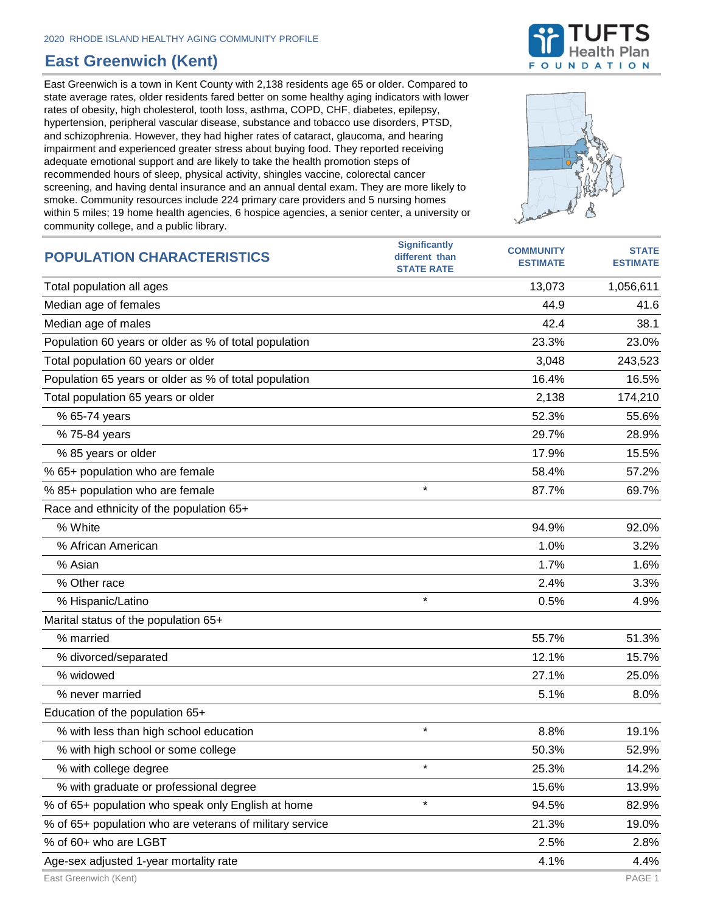## **East Greenwich (Kent)**

East Greenwich is a town in Kent County with 2,138 residents age 65 or older. Compared to state average rates, older residents fared better on some healthy aging indicators with lower rates of obesity, high cholesterol, tooth loss, asthma, COPD, CHF, diabetes, epilepsy, hypertension, peripheral vascular disease, substance and tobacco use disorders, PTSD, and schizophrenia. However, they had higher rates of cataract, glaucoma, and hearing impairment and experienced greater stress about buying food. They reported receiving adequate emotional support and are likely to take the health promotion steps of recommended hours of sleep, physical activity, shingles vaccine, colorectal cancer screening, and having dental insurance and an annual dental exam. They are more likely to smoke. Community resources include 224 primary care providers and 5 nursing homes within 5 miles; 19 home health agencies, 6 hospice agencies, a senior center, a university or community college, and a public library.



| <b>POPULATION CHARACTERISTICS</b>                        | <b>Significantly</b><br>different than<br><b>STATE RATE</b> | <b>COMMUNITY</b><br><b>ESTIMATE</b> | <b>STATE</b><br><b>ESTIMATE</b> |
|----------------------------------------------------------|-------------------------------------------------------------|-------------------------------------|---------------------------------|
| Total population all ages                                |                                                             | 13,073                              | 1,056,611                       |
| Median age of females                                    |                                                             | 44.9                                | 41.6                            |
| Median age of males                                      |                                                             | 42.4                                | 38.1                            |
| Population 60 years or older as % of total population    |                                                             | 23.3%                               | 23.0%                           |
| Total population 60 years or older                       |                                                             | 3,048                               | 243,523                         |
| Population 65 years or older as % of total population    |                                                             | 16.4%                               | 16.5%                           |
| Total population 65 years or older                       |                                                             | 2,138                               | 174,210                         |
| % 65-74 years                                            |                                                             | 52.3%                               | 55.6%                           |
| % 75-84 years                                            |                                                             | 29.7%                               | 28.9%                           |
| % 85 years or older                                      |                                                             | 17.9%                               | 15.5%                           |
| % 65+ population who are female                          |                                                             | 58.4%                               | 57.2%                           |
| % 85+ population who are female                          | $\star$                                                     | 87.7%                               | 69.7%                           |
| Race and ethnicity of the population 65+                 |                                                             |                                     |                                 |
| % White                                                  |                                                             | 94.9%                               | 92.0%                           |
| % African American                                       |                                                             | 1.0%                                | 3.2%                            |
| % Asian                                                  |                                                             | 1.7%                                | 1.6%                            |
| % Other race                                             |                                                             | 2.4%                                | 3.3%                            |
| % Hispanic/Latino                                        | $\star$                                                     | 0.5%                                | 4.9%                            |
| Marital status of the population 65+                     |                                                             |                                     |                                 |
| % married                                                |                                                             | 55.7%                               | 51.3%                           |
| % divorced/separated                                     |                                                             | 12.1%                               | 15.7%                           |
| % widowed                                                |                                                             | 27.1%                               | 25.0%                           |
| % never married                                          |                                                             | 5.1%                                | 8.0%                            |
| Education of the population 65+                          |                                                             |                                     |                                 |
| % with less than high school education                   | $\star$                                                     | 8.8%                                | 19.1%                           |
| % with high school or some college                       |                                                             | 50.3%                               | 52.9%                           |
| % with college degree                                    | $\star$                                                     | 25.3%                               | 14.2%                           |
| % with graduate or professional degree                   |                                                             | 15.6%                               | 13.9%                           |
| % of 65+ population who speak only English at home       | $\star$                                                     | 94.5%                               | 82.9%                           |
| % of 65+ population who are veterans of military service |                                                             | 21.3%                               | 19.0%                           |
| % of 60+ who are LGBT                                    |                                                             | 2.5%                                | 2.8%                            |
| Age-sex adjusted 1-year mortality rate                   |                                                             | 4.1%                                | 4.4%                            |

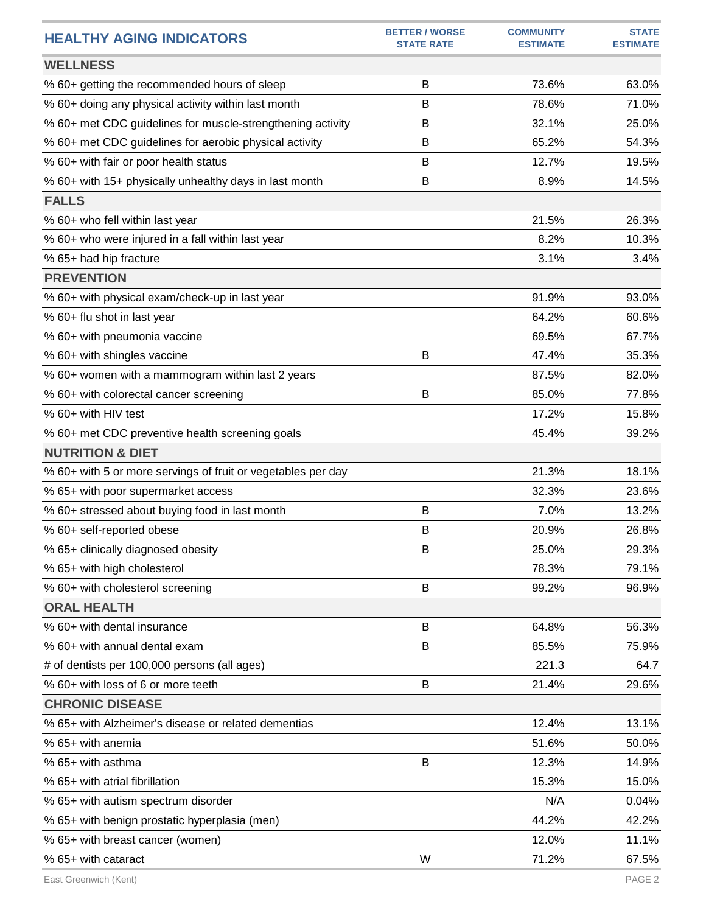| <b>HEALTHY AGING INDICATORS</b>                              | <b>BETTER / WORSE</b><br><b>STATE RATE</b> | <b>COMMUNITY</b><br><b>ESTIMATE</b> | <b>STATE</b><br><b>ESTIMATE</b> |
|--------------------------------------------------------------|--------------------------------------------|-------------------------------------|---------------------------------|
| <b>WELLNESS</b>                                              |                                            |                                     |                                 |
| % 60+ getting the recommended hours of sleep                 | B                                          | 73.6%                               | 63.0%                           |
| % 60+ doing any physical activity within last month          | B                                          | 78.6%                               | 71.0%                           |
| % 60+ met CDC guidelines for muscle-strengthening activity   | B                                          | 32.1%                               | 25.0%                           |
| % 60+ met CDC guidelines for aerobic physical activity       | В                                          | 65.2%                               | 54.3%                           |
| % 60+ with fair or poor health status                        | B                                          | 12.7%                               | 19.5%                           |
| % 60+ with 15+ physically unhealthy days in last month       | B                                          | 8.9%                                | 14.5%                           |
| <b>FALLS</b>                                                 |                                            |                                     |                                 |
| % 60+ who fell within last year                              |                                            | 21.5%                               | 26.3%                           |
| % 60+ who were injured in a fall within last year            |                                            | 8.2%                                | 10.3%                           |
| % 65+ had hip fracture                                       |                                            | 3.1%                                | 3.4%                            |
| <b>PREVENTION</b>                                            |                                            |                                     |                                 |
| % 60+ with physical exam/check-up in last year               |                                            | 91.9%                               | 93.0%                           |
| % 60+ flu shot in last year                                  |                                            | 64.2%                               | 60.6%                           |
| % 60+ with pneumonia vaccine                                 |                                            | 69.5%                               | 67.7%                           |
| % 60+ with shingles vaccine                                  | B                                          | 47.4%                               | 35.3%                           |
| % 60+ women with a mammogram within last 2 years             |                                            | 87.5%                               | 82.0%                           |
| % 60+ with colorectal cancer screening                       | B                                          | 85.0%                               | 77.8%                           |
| % 60+ with HIV test                                          |                                            | 17.2%                               | 15.8%                           |
| % 60+ met CDC preventive health screening goals              |                                            | 45.4%                               | 39.2%                           |
| <b>NUTRITION &amp; DIET</b>                                  |                                            |                                     |                                 |
| % 60+ with 5 or more servings of fruit or vegetables per day |                                            | 21.3%                               | 18.1%                           |
| % 65+ with poor supermarket access                           |                                            | 32.3%                               | 23.6%                           |
| % 60+ stressed about buying food in last month               | B                                          | 7.0%                                | 13.2%                           |
| % 60+ self-reported obese                                    | B                                          | 20.9%                               | 26.8%                           |
| % 65+ clinically diagnosed obesity                           | B                                          | 25.0%                               | 29.3%                           |
| % 65+ with high cholesterol                                  |                                            | 78.3%                               | 79.1%                           |
| % 60+ with cholesterol screening                             | B                                          | 99.2%                               | 96.9%                           |
| <b>ORAL HEALTH</b>                                           |                                            |                                     |                                 |
| % 60+ with dental insurance                                  | B                                          | 64.8%                               | 56.3%                           |
| % 60+ with annual dental exam                                | B                                          | 85.5%                               | 75.9%                           |
| # of dentists per 100,000 persons (all ages)                 |                                            | 221.3                               | 64.7                            |
| % 60+ with loss of 6 or more teeth                           | B                                          | 21.4%                               | 29.6%                           |
| <b>CHRONIC DISEASE</b>                                       |                                            |                                     |                                 |
| % 65+ with Alzheimer's disease or related dementias          |                                            | 12.4%                               | 13.1%                           |
| % 65+ with anemia                                            |                                            | 51.6%                               | 50.0%                           |
| % 65+ with asthma                                            | B                                          | 12.3%                               | 14.9%                           |
| % 65+ with atrial fibrillation                               |                                            | 15.3%                               | 15.0%                           |
| % 65+ with autism spectrum disorder                          |                                            | N/A                                 | 0.04%                           |
| % 65+ with benign prostatic hyperplasia (men)                |                                            | 44.2%                               | 42.2%                           |
| % 65+ with breast cancer (women)                             |                                            | 12.0%                               | 11.1%                           |
| % 65+ with cataract                                          | W                                          | 71.2%                               | 67.5%                           |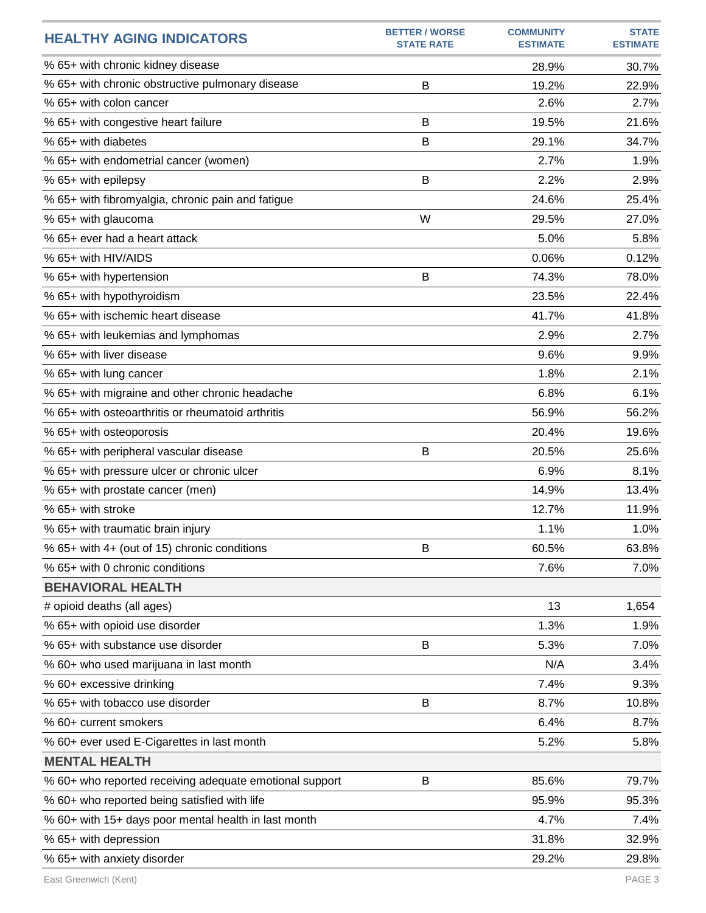| <b>HEALTHY AGING INDICATORS</b>                         | <b>BETTER / WORSE</b><br><b>STATE RATE</b> | <b>COMMUNITY</b><br><b>ESTIMATE</b> | <b>STATE</b><br><b>ESTIMATE</b> |
|---------------------------------------------------------|--------------------------------------------|-------------------------------------|---------------------------------|
| % 65+ with chronic kidney disease                       |                                            | 28.9%                               | 30.7%                           |
| % 65+ with chronic obstructive pulmonary disease        | B                                          | 19.2%                               | 22.9%                           |
| % 65+ with colon cancer                                 |                                            | 2.6%                                | 2.7%                            |
| % 65+ with congestive heart failure                     | B                                          | 19.5%                               | 21.6%                           |
| % 65+ with diabetes                                     | B                                          | 29.1%                               | 34.7%                           |
| % 65+ with endometrial cancer (women)                   |                                            | 2.7%                                | 1.9%                            |
| % 65+ with epilepsy                                     | B                                          | 2.2%                                | 2.9%                            |
| % 65+ with fibromyalgia, chronic pain and fatigue       |                                            | 24.6%                               | 25.4%                           |
| % 65+ with glaucoma                                     | W                                          | 29.5%                               | 27.0%                           |
| % 65+ ever had a heart attack                           |                                            | 5.0%                                | 5.8%                            |
| % 65+ with HIV/AIDS                                     |                                            | 0.06%                               | 0.12%                           |
| % 65+ with hypertension                                 | B                                          | 74.3%                               | 78.0%                           |
| % 65+ with hypothyroidism                               |                                            | 23.5%                               | 22.4%                           |
| % 65+ with ischemic heart disease                       |                                            | 41.7%                               | 41.8%                           |
| % 65+ with leukemias and lymphomas                      |                                            | 2.9%                                | 2.7%                            |
| % 65+ with liver disease                                |                                            | 9.6%                                | 9.9%                            |
| % 65+ with lung cancer                                  |                                            | 1.8%                                | 2.1%                            |
| % 65+ with migraine and other chronic headache          |                                            | 6.8%                                | 6.1%                            |
| % 65+ with osteoarthritis or rheumatoid arthritis       |                                            | 56.9%                               | 56.2%                           |
| % 65+ with osteoporosis                                 |                                            | 20.4%                               | 19.6%                           |
| % 65+ with peripheral vascular disease                  | B                                          | 20.5%                               | 25.6%                           |
| % 65+ with pressure ulcer or chronic ulcer              |                                            | 6.9%                                | 8.1%                            |
| % 65+ with prostate cancer (men)                        |                                            | 14.9%                               | 13.4%                           |
| % 65+ with stroke                                       |                                            | 12.7%                               | 11.9%                           |
| % 65+ with traumatic brain injury                       |                                            | 1.1%                                | 1.0%                            |
| % 65+ with 4+ (out of 15) chronic conditions            | B                                          | 60.5%                               | 63.8%                           |
| % 65+ with 0 chronic conditions                         |                                            | 7.6%                                | 7.0%                            |
| <b>BEHAVIORAL HEALTH</b>                                |                                            |                                     |                                 |
| # opioid deaths (all ages)                              |                                            | 13                                  | 1,654                           |
| % 65+ with opioid use disorder                          |                                            | 1.3%                                | 1.9%                            |
| % 65+ with substance use disorder                       | B                                          | 5.3%                                | 7.0%                            |
| % 60+ who used marijuana in last month                  |                                            | N/A                                 | 3.4%                            |
| % 60+ excessive drinking                                |                                            | 7.4%                                | 9.3%                            |
| % 65+ with tobacco use disorder                         | B                                          | 8.7%                                | 10.8%                           |
| % 60+ current smokers                                   |                                            | 6.4%                                | 8.7%                            |
| % 60+ ever used E-Cigarettes in last month              |                                            | 5.2%                                | 5.8%                            |
| <b>MENTAL HEALTH</b>                                    |                                            |                                     |                                 |
| % 60+ who reported receiving adequate emotional support | B                                          | 85.6%                               | 79.7%                           |
| % 60+ who reported being satisfied with life            |                                            | 95.9%                               | 95.3%                           |
| % 60+ with 15+ days poor mental health in last month    |                                            | 4.7%                                | 7.4%                            |
| % 65+ with depression                                   |                                            | 31.8%                               | 32.9%                           |
| % 65+ with anxiety disorder                             |                                            | 29.2%                               | 29.8%                           |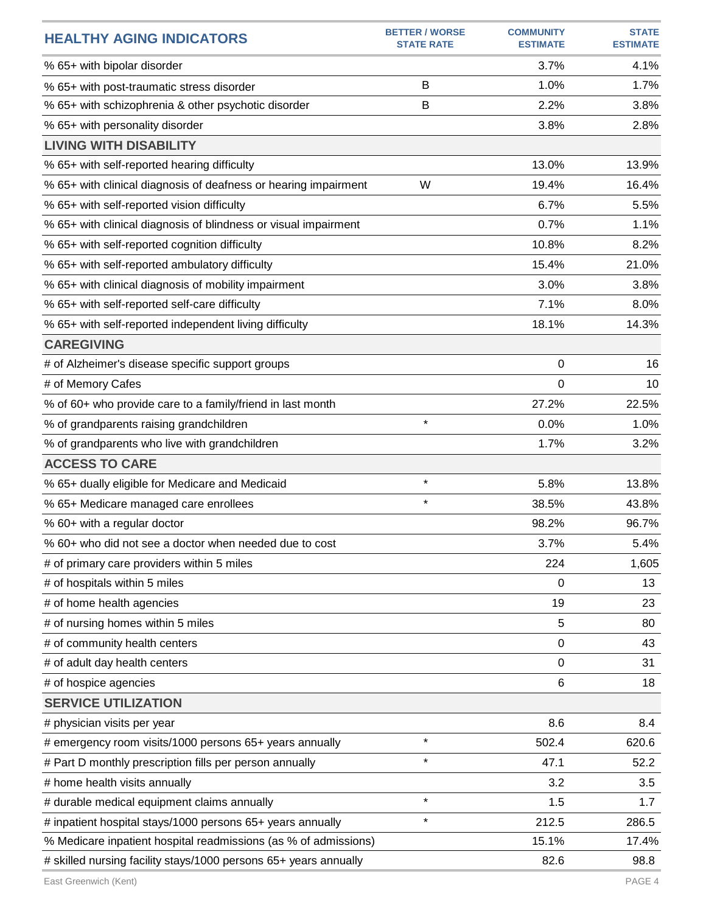| <b>HEALTHY AGING INDICATORS</b>                                  | <b>BETTER / WORSE</b><br><b>STATE RATE</b> | <b>COMMUNITY</b><br><b>ESTIMATE</b> | <b>STATE</b><br><b>ESTIMATE</b> |
|------------------------------------------------------------------|--------------------------------------------|-------------------------------------|---------------------------------|
| % 65+ with bipolar disorder                                      |                                            | 3.7%                                | 4.1%                            |
| % 65+ with post-traumatic stress disorder                        | B                                          | 1.0%                                | 1.7%                            |
| % 65+ with schizophrenia & other psychotic disorder              | B                                          | 2.2%                                | 3.8%                            |
| % 65+ with personality disorder                                  |                                            | 3.8%                                | 2.8%                            |
| <b>LIVING WITH DISABILITY</b>                                    |                                            |                                     |                                 |
| % 65+ with self-reported hearing difficulty                      |                                            | 13.0%                               | 13.9%                           |
| % 65+ with clinical diagnosis of deafness or hearing impairment  | W                                          | 19.4%                               | 16.4%                           |
| % 65+ with self-reported vision difficulty                       |                                            | 6.7%                                | 5.5%                            |
| % 65+ with clinical diagnosis of blindness or visual impairment  |                                            | 0.7%                                | 1.1%                            |
| % 65+ with self-reported cognition difficulty                    |                                            | 10.8%                               | 8.2%                            |
| % 65+ with self-reported ambulatory difficulty                   |                                            | 15.4%                               | 21.0%                           |
| % 65+ with clinical diagnosis of mobility impairment             |                                            | 3.0%                                | 3.8%                            |
| % 65+ with self-reported self-care difficulty                    |                                            | 7.1%                                | 8.0%                            |
| % 65+ with self-reported independent living difficulty           |                                            | 18.1%                               | 14.3%                           |
| <b>CAREGIVING</b>                                                |                                            |                                     |                                 |
| # of Alzheimer's disease specific support groups                 |                                            | 0                                   | 16                              |
| # of Memory Cafes                                                |                                            | 0                                   | 10                              |
| % of 60+ who provide care to a family/friend in last month       |                                            | 27.2%                               | 22.5%                           |
| % of grandparents raising grandchildren                          | $\star$                                    | 0.0%                                | 1.0%                            |
| % of grandparents who live with grandchildren                    |                                            | 1.7%                                | 3.2%                            |
| <b>ACCESS TO CARE</b>                                            |                                            |                                     |                                 |
| % 65+ dually eligible for Medicare and Medicaid                  | $\star$                                    | 5.8%                                | 13.8%                           |
| % 65+ Medicare managed care enrollees                            | $\star$                                    | 38.5%                               | 43.8%                           |
| % 60+ with a regular doctor                                      |                                            | 98.2%                               | 96.7%                           |
| % 60+ who did not see a doctor when needed due to cost           |                                            | 3.7%                                | 5.4%                            |
| # of primary care providers within 5 miles                       |                                            | 224                                 | 1,605                           |
| # of hospitals within 5 miles                                    |                                            | 0                                   | 13                              |
| # of home health agencies                                        |                                            | 19                                  | 23                              |
| # of nursing homes within 5 miles                                |                                            | 5                                   | 80                              |
| # of community health centers                                    |                                            | 0                                   | 43                              |
| # of adult day health centers                                    |                                            | 0                                   | 31                              |
| # of hospice agencies                                            |                                            | 6                                   | 18                              |
| <b>SERVICE UTILIZATION</b>                                       |                                            |                                     |                                 |
| # physician visits per year                                      |                                            | 8.6                                 | 8.4                             |
| # emergency room visits/1000 persons 65+ years annually          | $\star$                                    | 502.4                               | 620.6                           |
| # Part D monthly prescription fills per person annually          | $\star$                                    | 47.1                                | 52.2                            |
| # home health visits annually                                    |                                            | 3.2                                 | 3.5                             |
| # durable medical equipment claims annually                      | $\star$                                    | 1.5                                 | 1.7                             |
| # inpatient hospital stays/1000 persons 65+ years annually       | $\star$                                    | 212.5                               | 286.5                           |
| % Medicare inpatient hospital readmissions (as % of admissions)  |                                            | 15.1%                               | 17.4%                           |
| # skilled nursing facility stays/1000 persons 65+ years annually |                                            | 82.6                                | 98.8                            |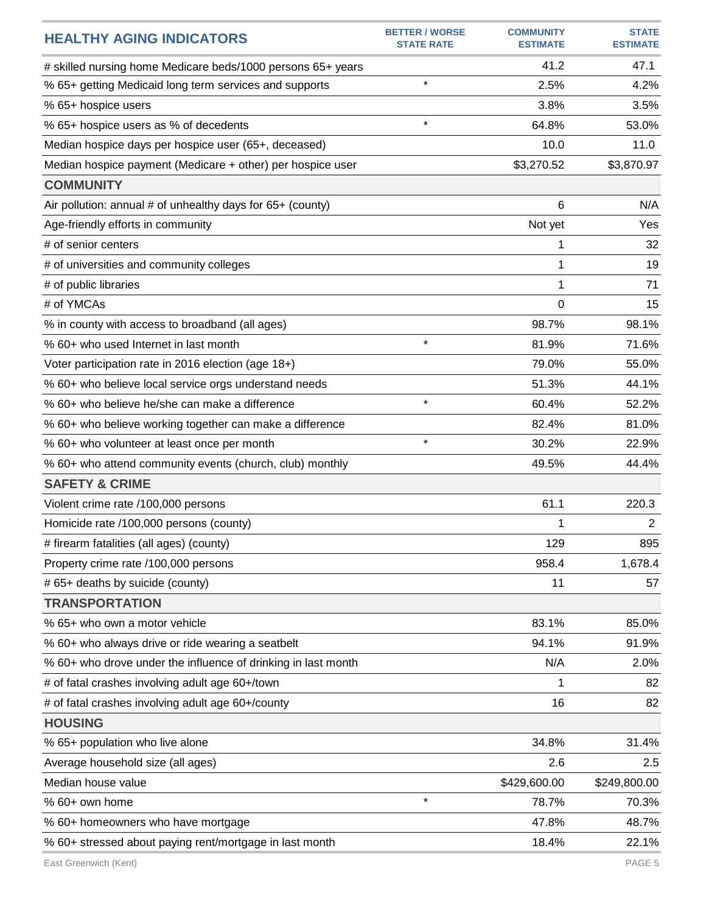| <b>HEALTHY AGING INDICATORS</b>                               | <b>BETTER / WORSE</b><br><b>STATE RATE</b> | <b>COMMUNITY</b><br><b>ESTIMATE</b> | <b>STATE</b><br><b>ESTIMATE</b> |
|---------------------------------------------------------------|--------------------------------------------|-------------------------------------|---------------------------------|
| # skilled nursing home Medicare beds/1000 persons 65+ years   |                                            | 41.2                                | 47.1                            |
| % 65+ getting Medicaid long term services and supports        | $\star$                                    | 2.5%                                | 4.2%                            |
| % 65+ hospice users                                           |                                            | 3.8%                                | 3.5%                            |
| % 65+ hospice users as % of decedents                         | $\star$                                    | 64.8%                               | 53.0%                           |
| Median hospice days per hospice user (65+, deceased)          |                                            | 10.0                                | 11.0                            |
| Median hospice payment (Medicare + other) per hospice user    |                                            | \$3,270.52                          | \$3,870.97                      |
| <b>COMMUNITY</b>                                              |                                            |                                     |                                 |
| Air pollution: annual # of unhealthy days for 65+ (county)    |                                            | 6                                   | N/A                             |
| Age-friendly efforts in community                             |                                            | Not yet                             | Yes                             |
| # of senior centers                                           |                                            | 1                                   | 32                              |
| # of universities and community colleges                      |                                            | 1                                   | 19                              |
| # of public libraries                                         |                                            | 1                                   | 71                              |
| # of YMCAs                                                    |                                            | $\Omega$                            | 15                              |
| % in county with access to broadband (all ages)               |                                            | 98.7%                               | 98.1%                           |
| % 60+ who used Internet in last month                         | $\star$                                    | 81.9%                               | 71.6%                           |
| Voter participation rate in 2016 election (age 18+)           |                                            | 79.0%                               | 55.0%                           |
| % 60+ who believe local service orgs understand needs         |                                            | 51.3%                               | 44.1%                           |
| % 60+ who believe he/she can make a difference                | $\star$                                    | 60.4%                               | 52.2%                           |
| % 60+ who believe working together can make a difference      |                                            | 82.4%                               | 81.0%                           |
| % 60+ who volunteer at least once per month                   | $\star$                                    | 30.2%                               | 22.9%                           |
| % 60+ who attend community events (church, club) monthly      |                                            | 49.5%                               | 44.4%                           |
| <b>SAFETY &amp; CRIME</b>                                     |                                            |                                     |                                 |
| Violent crime rate /100,000 persons                           |                                            | 61.1                                | 220.3                           |
| Homicide rate /100,000 persons (county)                       |                                            | 1                                   | $\overline{2}$                  |
| # firearm fatalities (all ages) (county)                      |                                            | 129                                 | 895                             |
| Property crime rate /100,000 persons                          |                                            | 958.4                               | 1,678.4                         |
| # 65+ deaths by suicide (county)                              |                                            | 11                                  | 57                              |
| <b>TRANSPORTATION</b>                                         |                                            |                                     |                                 |
| % 65+ who own a motor vehicle                                 |                                            | 83.1%                               | 85.0%                           |
| % 60+ who always drive or ride wearing a seatbelt             |                                            | 94.1%                               | 91.9%                           |
| % 60+ who drove under the influence of drinking in last month |                                            | N/A                                 | 2.0%                            |
| # of fatal crashes involving adult age 60+/town               |                                            | 1                                   | 82                              |
| # of fatal crashes involving adult age 60+/county             |                                            | 16                                  | 82                              |
| <b>HOUSING</b>                                                |                                            |                                     |                                 |
| % 65+ population who live alone                               |                                            | 34.8%                               | 31.4%                           |
| Average household size (all ages)                             |                                            | 2.6                                 | 2.5                             |
| Median house value                                            |                                            | \$429,600.00                        | \$249,800.00                    |
| % 60+ own home                                                | $\star$                                    | 78.7%                               | 70.3%                           |
| % 60+ homeowners who have mortgage                            |                                            | 47.8%                               | 48.7%                           |
| % 60+ stressed about paying rent/mortgage in last month       |                                            | 18.4%                               | 22.1%                           |